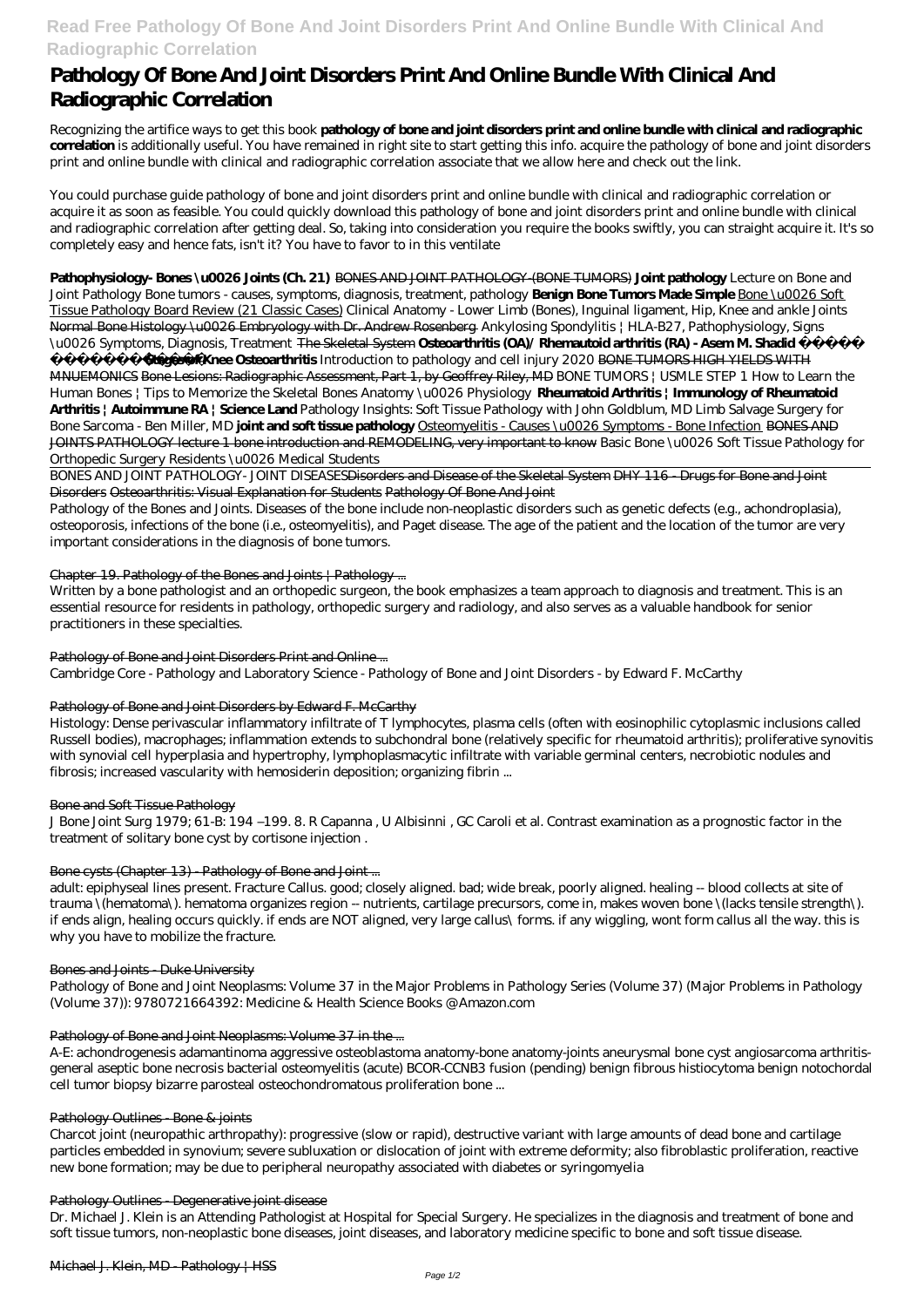# **Read Free Pathology Of Bone And Joint Disorders Print And Online Bundle With Clinical And Radiographic Correlation**

# **Pathology Of Bone And Joint Disorders Print And Online Bundle With Clinical And Radiographic Correlation**

Recognizing the artifice ways to get this book **pathology of bone and joint disorders print and online bundle with clinical and radiographic correlation** is additionally useful. You have remained in right site to start getting this info. acquire the pathology of bone and joint disorders print and online bundle with clinical and radiographic correlation associate that we allow here and check out the link.

You could purchase guide pathology of bone and joint disorders print and online bundle with clinical and radiographic correlation or acquire it as soon as feasible. You could quickly download this pathology of bone and joint disorders print and online bundle with clinical and radiographic correlation after getting deal. So, taking into consideration you require the books swiftly, you can straight acquire it. It's so completely easy and hence fats, isn't it? You have to favor to in this ventilate

**Stages of Knee Osteoarthritis** *Introduction to pathology and cell injury 2020* BONE TUMORS HIGH YIELDS WITH MNUEMONICS Bone Lesions: Radiographic Assessment, Part 1, by Geoffrey Riley, MD *BONE TUMORS | USMLE STEP 1* How to Learn the Human Bones | Tips to Memorize the Skeletal Bones Anatomy \u0026 Physiology **Rheumatoid Arthritis | Immunology of Rheumatoid Arthritis | Autoimmune RA | Science Land** *Pathology Insights: Soft Tissue Pathology with John Goldblum, MD Limb Salvage Surgery for Bone Sarcoma - Ben Miller, MD* **joint and soft tissue pathology** Osteomyelitis - Causes \u0026 Symptoms - Bone Infection BONES AND JOINTS PATHOLOGY lecture 1 bone introduction and REMODELING, very important to know *Basic Bone \u0026 Soft Tissue Pathology for Orthopedic Surgery Residents \u0026 Medical Students*

## **Pathophysiology- Bones \u0026 Joints (Ch. 21)** BONES AND JOINT PATHOLOGY-(BONE TUMORS) **Joint pathology** *Lecture on Bone and Joint Pathology* Bone tumors - causes, symptoms, diagnosis, treatment, pathology **Benign Bone Tumors Made Simple** Bone \u0026 Soft Tissue Pathology Board Review (21 Classic Cases) *Clinical Anatomy - Lower Limb (Bones), Inguinal ligament, Hip, Knee and ankle Joints* Normal Bone Histology \u0026 Embryology with Dr. Andrew Rosenberg *Ankylosing Spondylitis | HLA-B27, Pathophysiology, Signs \u0026 Symptoms, Diagnosis, Treatment* The Skeletal System **Osteoarthritis (OA)/ Rhemautoid arthritis (RA) - Asem M. Shadid حرش**

BONES AND JOINT PATHOLOGY- JOINT DISEASESDisorders and Disease of the Skeletal System DHY 116 - Drugs for Bone and Joint Disorders Osteoarthritis: Visual Explanation for Students Pathology Of Bone And Joint

Pathology of the Bones and Joints. Diseases of the bone include non-neoplastic disorders such as genetic defects (e.g., achondroplasia), osteoporosis, infections of the bone (i.e., osteomyelitis), and Paget disease. The age of the patient and the location of the tumor are very important considerations in the diagnosis of bone tumors.

## Chapter 19. Pathology of the Bones and Joints | Pathology ...

Written by a bone pathologist and an orthopedic surgeon, the book emphasizes a team approach to diagnosis and treatment. This is an essential resource for residents in pathology, orthopedic surgery and radiology, and also serves as a valuable handbook for senior practitioners in these specialties.

## Pathology of Bone and Joint Disorders Print and Online ...

Cambridge Core - Pathology and Laboratory Science - Pathology of Bone and Joint Disorders - by Edward F. McCarthy

## Pathology of Bone and Joint Disorders by Edward F. McCarthy

Histology: Dense perivascular inflammatory infiltrate of T lymphocytes, plasma cells (often with eosinophilic cytoplasmic inclusions called Russell bodies), macrophages; inflammation extends to subchondral bone (relatively specific for rheumatoid arthritis); proliferative synovitis with synovial cell hyperplasia and hypertrophy, lymphoplasmacytic infiltrate with variable germinal centers, necrobiotic nodules and fibrosis; increased vascularity with hemosiderin deposition; organizing fibrin ...

## Bone and Soft Tissue Pathology

J Bone Joint Surg 1979; 61-B: 194 –199. 8. R Capanna , U Albisinni , GC Caroli et al. Contrast examination as a prognostic factor in the treatment of solitary bone cyst by cortisone injection .

## Bone cysts (Chapter 13) - Pathology of Bone and Joint ...

adult: epiphyseal lines present. Fracture Callus. good; closely aligned. bad; wide break, poorly aligned. healing -- blood collects at site of trauma \(hematoma\). hematoma organizes region -- nutrients, cartilage precursors, come in, makes woven bone \(lacks tensile strength\). if ends align, healing occurs quickly. if ends are NOT aligned, very large callus\ forms. if any wiggling, wont form callus all the way. this is why you have to mobilize the fracture.

## Bones and Joints - Duke University

Pathology of Bone and Joint Neoplasms: Volume 37 in the Major Problems in Pathology Series (Volume 37) (Major Problems in Pathology (Volume 37)): 9780721664392: Medicine & Health Science Books @ Amazon.com

#### Pathology of Bone and Joint Neoplasms: Volume 37 in the ...

A-E: achondrogenesis adamantinoma aggressive osteoblastoma anatomy-bone anatomy-joints aneurysmal bone cyst angiosarcoma arthritisgeneral aseptic bone necrosis bacterial osteomyelitis (acute) BCOR-CCNB3 fusion (pending) benign fibrous histiocytoma benign notochordal cell tumor biopsy bizarre parosteal osteochondromatous proliferation bone ...

#### Pathology Outlines - Bone & joints

Charcot joint (neuropathic arthropathy): progressive (slow or rapid), destructive variant with large amounts of dead bone and cartilage particles embedded in synovium; severe subluxation or dislocation of joint with extreme deformity; also fibroblastic proliferation, reactive new bone formation; may be due to peripheral neuropathy associated with diabetes or syringomyelia

#### Pathology Outlines - Degenerative joint disease

Dr. Michael J. Klein is an Attending Pathologist at Hospital for Special Surgery. He specializes in the diagnosis and treatment of bone and soft tissue tumors, non-neoplastic bone diseases, joint diseases, and laboratory medicine specific to bone and soft tissue disease.

#### Michael J. Klein, MD - Pathology | HSS